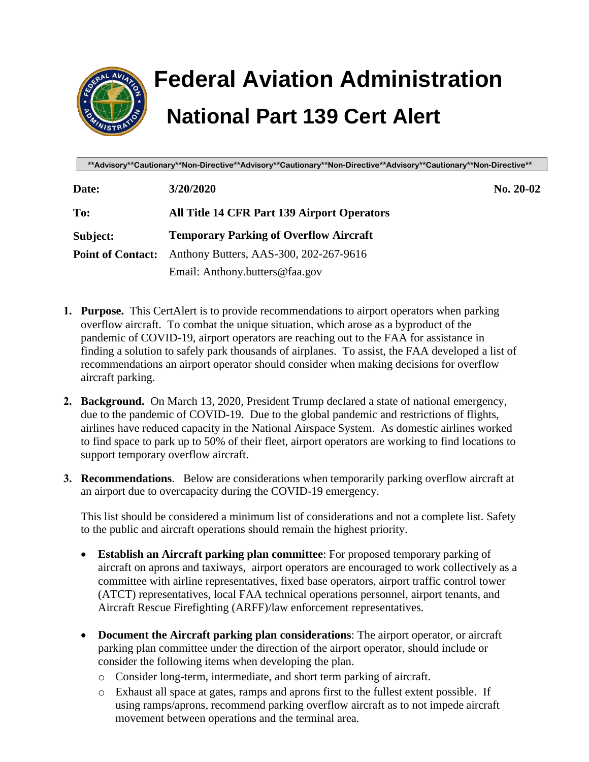

## **Federal Aviation Administration National Part 139 Cert Alert**

**\*\*Advisory\*\*Cautionary\*\*Non-Directive\*\*Advisory\*\*Cautionary\*\*Non-Directive\*\*Advisory\*\*Cautionary\*\*Non-Directive\*\***

| Date:                    | 3/20/2020                                     | $No. 20-02$ |
|--------------------------|-----------------------------------------------|-------------|
| To:                      | All Title 14 CFR Part 139 Airport Operators   |             |
| Subject:                 | <b>Temporary Parking of Overflow Aircraft</b> |             |
| <b>Point of Contact:</b> | Anthony Butters, AAS-300, 202-267-9616        |             |
|                          | Email: Anthony.butters@faa.gov                |             |

- **1. Purpose.** This CertAlert is to provide recommendations to airport operators when parking overflow aircraft. To combat the unique situation, which arose as a byproduct of the pandemic of COVID-19, airport operators are reaching out to the FAA for assistance in finding a solution to safely park thousands of airplanes. To assist, the FAA developed a list of recommendations an airport operator should consider when making decisions for overflow aircraft parking.
- **2. Background.** On March 13, 2020, President Trump declared a state of national emergency, due to the pandemic of COVID-19. Due to the global pandemic and restrictions of flights, airlines have reduced capacity in the National Airspace System. As domestic airlines worked to find space to park up to 50% of their fleet, airport operators are working to find locations to support temporary overflow aircraft.
- **3. Recommendations**. Below are considerations when temporarily parking overflow aircraft at an airport due to overcapacity during the COVID-19 emergency.

This list should be considered a minimum list of considerations and not a complete list. Safety to the public and aircraft operations should remain the highest priority.

- **Establish an Aircraft parking plan committee**: For proposed temporary parking of aircraft on aprons and taxiways, airport operators are encouraged to work collectively as a committee with airline representatives, fixed base operators, airport traffic control tower (ATCT) representatives, local FAA technical operations personnel, airport tenants, and Aircraft Rescue Firefighting (ARFF)/law enforcement representatives.
- **Document the Aircraft parking plan considerations**: The airport operator, or aircraft parking plan committee under the direction of the airport operator, should include or consider the following items when developing the plan.
	- o Consider long-term, intermediate, and short term parking of aircraft.
	- o Exhaust all space at gates, ramps and aprons first to the fullest extent possible. If using ramps/aprons, recommend parking overflow aircraft as to not impede aircraft movement between operations and the terminal area.